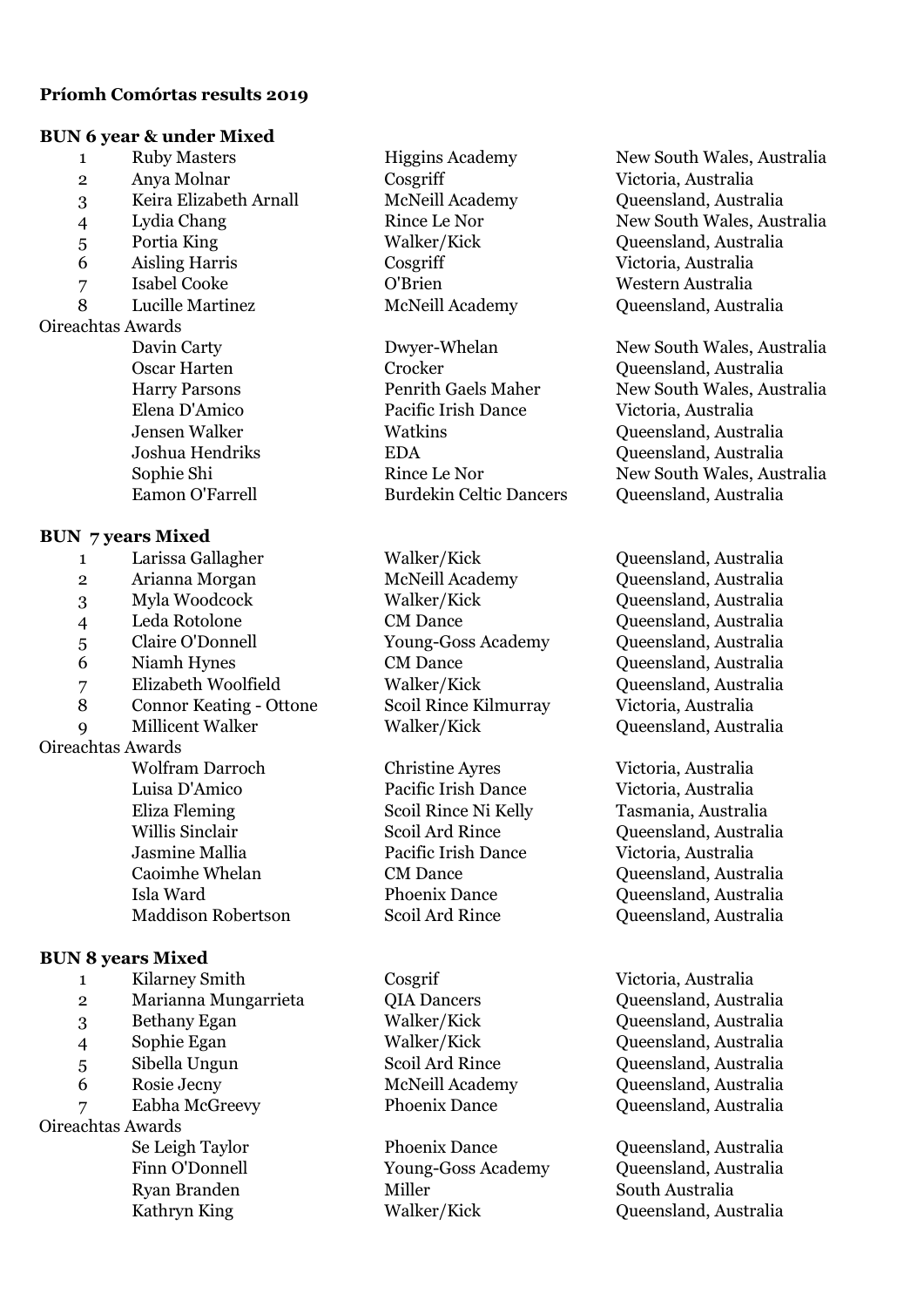## **Príomh Comórtas results 2019**

#### **BUN 6 year & under Mixed**

| <b>BUN 6 year &amp; under Mixed</b> |                                |  |
|-------------------------------------|--------------------------------|--|
| 1                                   | <b>Ruby Masters</b>            |  |
| $\overline{2}$                      | Anya Molnar                    |  |
| 3                                   | Keira Elizabeth Arnall         |  |
| $\overline{4}$                      | Lydia Chang                    |  |
| 5                                   | Portia King                    |  |
| 6                                   | <b>Aisling Harris</b>          |  |
| $\overline{7}$                      | <b>Isabel Cooke</b>            |  |
| 8                                   | Lucille Martinez               |  |
| Oireachtas Awards                   |                                |  |
|                                     | Davin Carty                    |  |
|                                     | <b>Oscar Harten</b>            |  |
|                                     | <b>Harry Parsons</b>           |  |
|                                     | Elena D'Amico                  |  |
|                                     | <b>Jensen Walker</b>           |  |
|                                     | Joshua Hendriks                |  |
|                                     | Sophie Shi                     |  |
|                                     | Eamon O'Farrell                |  |
| <b>BUN 7 years Mixed</b>            |                                |  |
| $\mathbf{1}$                        | Larissa Gallagher              |  |
| $\overline{2}$                      | Arianna Morgan                 |  |
| 3 <sup>1</sup>                      | Myla Woodcock                  |  |
| $\overline{4}$                      | Leda Rotolone                  |  |
| 5                                   | Claire O'Donnell               |  |
| 6                                   | Niamh Hynes                    |  |
|                                     |                                |  |
| 7                                   | Elizabeth Woolfield            |  |
| 8                                   | <b>Connor Keating - Ottone</b> |  |
| 9                                   | <b>Millicent Walker</b>        |  |
| Oireachtas Awards                   |                                |  |
|                                     | Wolfram Darroch                |  |
|                                     | Luisa D'Amico                  |  |
|                                     | <b>Eliza Fleming</b>           |  |
|                                     | Willis Sinclair                |  |
|                                     | Jasmine Mallia                 |  |

## **BUN 8 years Mixed**

 Kilarney Smith Cosgrif Victoria, Australia Marianna Mungarrieta QIA Dancers Queensland, Australia Bethany Egan Walker/Kick Queensland, Australia Sophie Egan Walker/Kick Queensland, Australia Sibella Ungun Scoil Ard Rince Queensland, Australia Rosie Jecny McNeill Academy Queensland, Australia Oireachtas Awards

Crocker **Crocker** Queensland, Australia Pacific Irish Dance Victoria, Australia Watkins Queensland, Australia EDA Queensland, Australia Burdekin Celtic Dancers Oueensland, Australia

Scoil Rince Kilmurray Victoria, Australia Walker/Kick Queensland, Australia

Christine Ayres Victoria, Australia Pacific Irish Dance Victoria, Australia Pacific Irish Dance Victoria, Australia

Ryan Branden Miller South Australia

Higgins Academy New South Wales, Australia 2 Anya Molnar Cosgriff Victoria, Australia McNeill Academy Queensland, Australia Rince Le Nor New South Wales, Australia 5 Portia King Walker/Kick Queensland, Australia 6 Aisling Harris Cosgriff Victoria, Australia 7 Isabel Cooke O'Brien Western Australia McNeill Academy **Queensland, Australia** 

Dwyer-Whelan New South Wales, Australia Penrith Gaels Maher New South Wales, Australia Rince Le Nor New South Wales, Australia

Walker/Kick **Callagher Confidential** Oueensland, Australia McNeill Academy Queensland, Australia 3 Myla Woodcock Walker/Kick Queensland, Australia CM Dance Queensland, Australia 5 Claire O'Donnell Young-Goss Academy Queensland, Australia CM Dance Queensland, Australia Walker/Kick Queensland, Australia

Scoil Rince Ni Kelly Tasmania, Australia Scoil Ard Rince Queensland, Australia CM Dance Queensland, Australia Isla Ward Phoenix Dance Queensland, Australia Maddison Robertson Scoil Ard Rince Queensland, Australia

7 Eabha McGreevy Phoenix Dance Queensland, Australia

Se Leigh Taylor Phoenix Dance Queensland, Australia Finn O'Donnell Young-Goss Academy Queensland, Australia Kathryn King Walker/Kick Queensland, Australia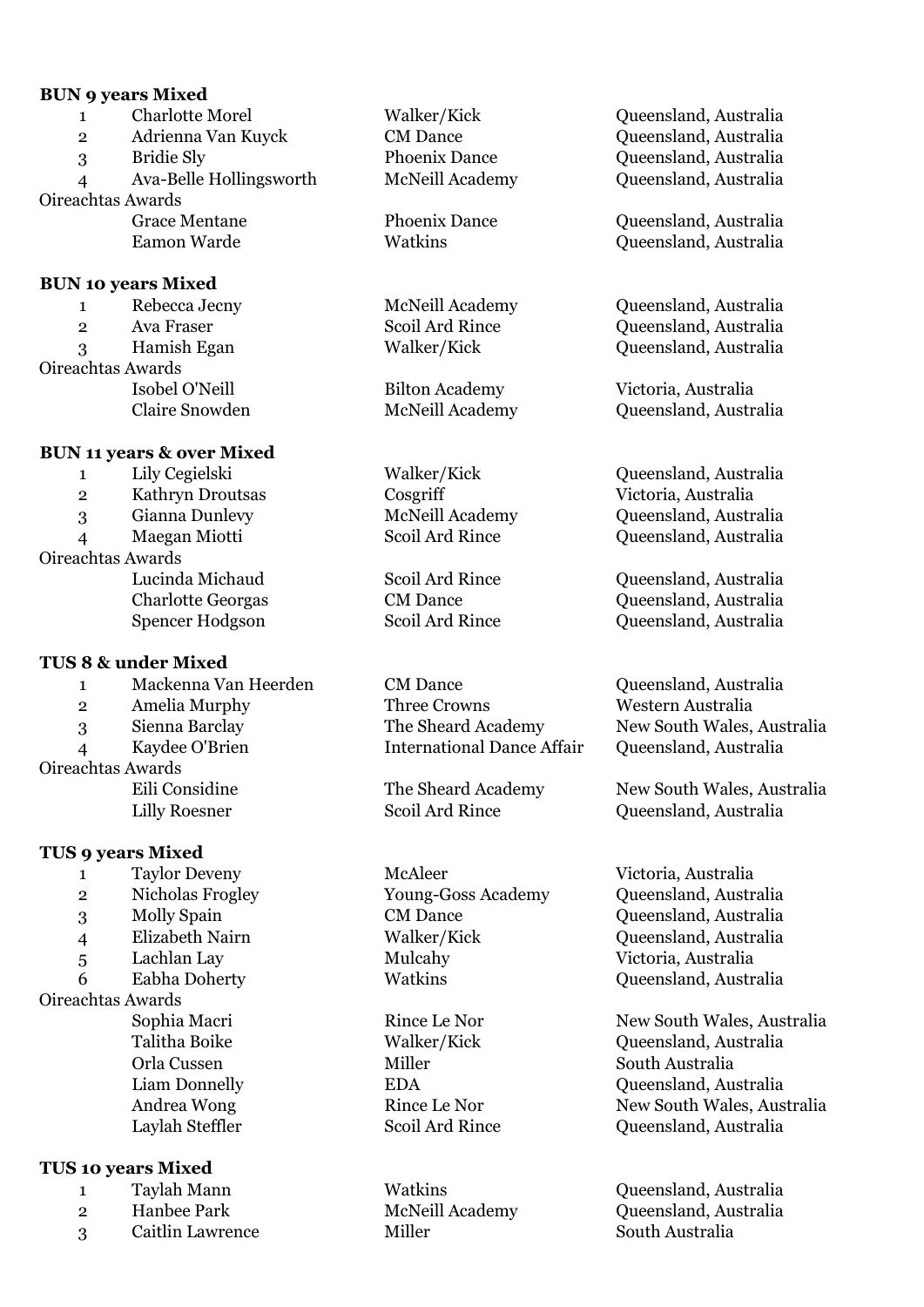#### **BUN 9 years Mixed**

1 Charlotte Morel Walker/Kick Queensland, Australia 2 Adrienna Van Kuyck CM Dance Queensland, Australia 3 Bridie Sly Phoenix Dance Queensland, Australia 4 Ava-Belle Hollingsworth McNeill Academy Queensland, Australia Oireachtas Awards Grace Mentane Phoenix Dance Queensland, Australia Eamon Warde Watkins Queensland, Australia **BUN 10 years Mixed** 1 Rebecca Jecny McNeill Academy Queensland, Australia 2 Ava Fraser Scoil Ard Rince Queensland, Australia 3 Hamish Egan Walker/Kick Queensland, Australia

Oireachtas Awards

## **BUN 11 years & over Mixed**

2 Kathryn Droutsas Cosgriff Victoria, Australia 3 Gianna Dunlevy McNeill Academy Queensland, Australia 4 Maegan Miotti Scoil Ard Rince Queensland, Australia Oireachtas Awards Lucinda Michaud Scoil Ard Rince Queensland, Australia Charlotte Georgas CM Dance Queensland, Australia Spencer Hodgson Scoil Ard Rince Queensland, Australia **TUS 8 & under Mixed** 1 Mackenna Van Heerden CM Dance CM Oueensland, Australia 2 Amelia Murphy Three Crowns Western Australia 3 Sienna Barclay The Sheard Academy New South Wales, Australia

Oireachtas Awards

## **TUS 9 years Mixed**

- 1 Taylor Deveny McAleer Victoria, Australia
- 
- 
- 4 Elizabeth Nairn Walker/Kick Queensland, Australia
- 

Oireachtas Awards

# **TUS 10 years Mixed**

- 
- 
- 3 Caitlin Lawrence Miller Miller South Australia

4 Kaydee O'Brien International Dance Affair Queensland, Australia

5 Lachlan Lay Mulcahy Victoria, Australia

Isobel O'Neill Bilton Academy Victoria, Australia Claire Snowden McNeill Academy Queensland, Australia

1 Lily Cegielski Walker/Kick Queensland, Australia

Eili Considine The Sheard Academy New South Wales, Australia Lilly Roesner Scoil Ard Rince Queensland, Australia

2 Nicholas Frogley Young-Goss Academy Queensland, Australia 3 Molly Spain CM Dance Queensland, Australia 6 Eabha Doherty Watkins Queensland, Australia

Sophia Macri **Rince Le Nor New South Wales, Australia** Talitha Boike Walker/Kick Queensland, Australia Orla Cussen Miller South Australia Liam Donnelly **EDA** EDA Queensland, Australia Andrea Wong Rince Le Nor New South Wales, Australia Laylah Steffler Scoil Ard Rince Queensland, Australia

1 Taylah Mann Watkins Queensland, Australia 2 Hanbee Park McNeill Academy Queensland, Australia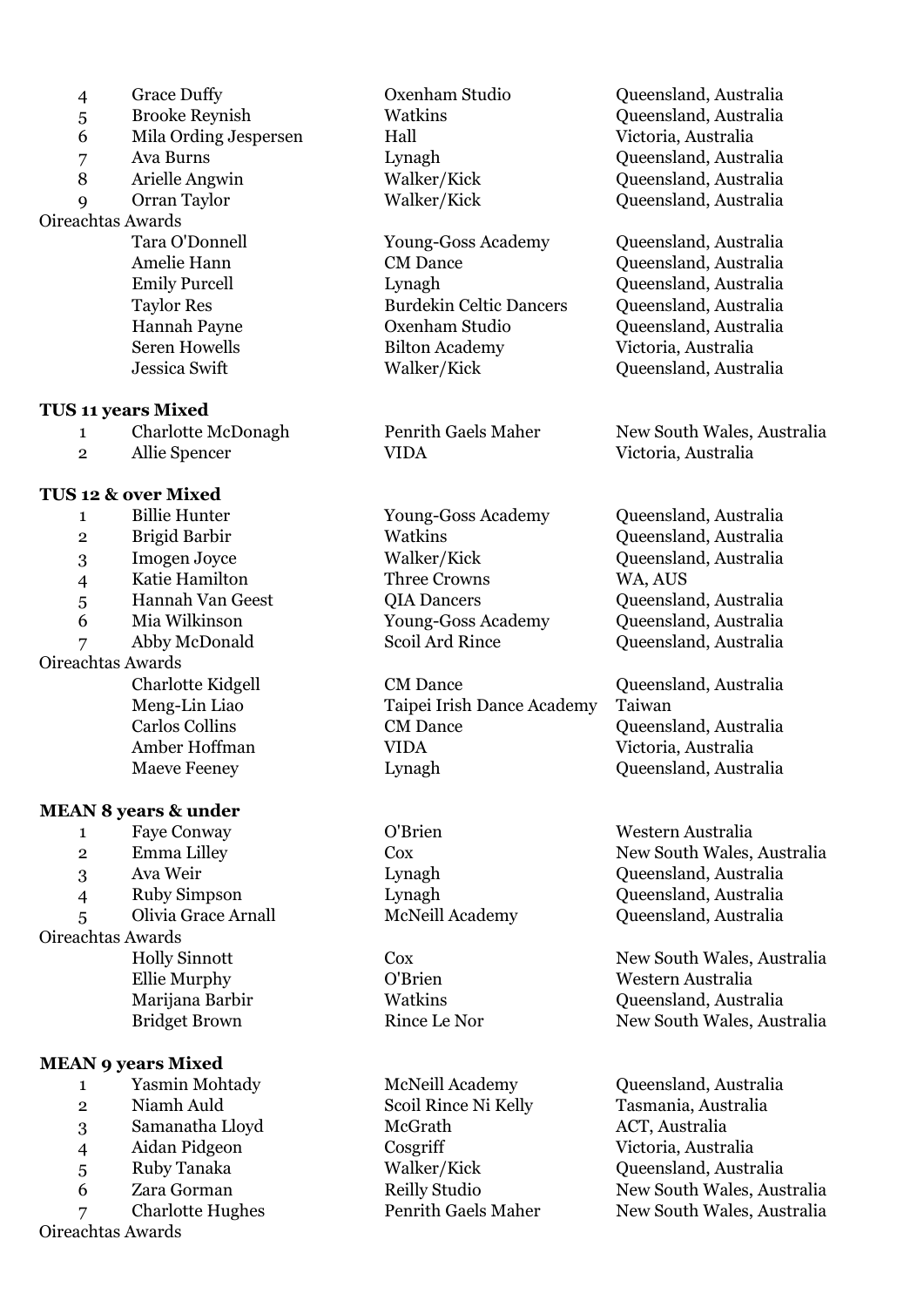- 
- 
- 6 Mila Ording Jespersen Hall Victoria, Australia
- 
- 
- 

## Oireachtas Awards

#### **TUS 11 years Mixed**

- 
- 

#### **TUS 12 & over Mixed**

- 1 Billie Hunter Young-Goss Academy Queensland, Australia
- 
- 
- 
- 5 Hannah Van Geest QIA Dancers Queensland, Australia
- 
- 

## Oireachtas Awards

#### **MEAN 8 years & under**

 Faye Conway O'Brien Western Australia Ava Weir Lynagh Queensland, Australia Ruby Simpson Lynagh Queensland, Australia Olivia Grace Arnall McNeill Academy Queensland, Australia Oireachtas Awards Ellie Murphy O'Brien Western Australia

## **MEAN 9 years Mixed**

- 1 Yasmin Mohtady McNeill Academy Queensland, Australia
- 
- 
- 
- 
- 

Oireachtas Awards

Tara O'Donnell Young-Goss Academy Queensland, Australia Amelie Hann CM Dance CM Dance Queensland, Australia Emily Purcell Lynagh Queensland, Australia Burdekin Celtic Dancers Oueensland, Australia Hannah Payne Oxenham Studio Queensland, Australia Seren Howells Bilton Academy Victoria, Australia Jessica Swift Walker/Kick Queensland, Australia

2 Allie Spencer VIDA Victoria, Australia

4 Katie Hamilton Three Crowns WA, AUS

Charlotte Kidgell CM Dance Queensland, Australia Meng-Lin Liao Taipei Irish Dance Academy Taiwan Carlos Collins CM Dance CM Dance Queensland, Australia Amber Hoffman VIDA Victoria, Australia Maeve Feeney **Lynagh** Lynagh Queensland, Australia

2 Niamh Auld Scoil Rince Ni Kelly Tasmania, Australia 3 Samanatha Lloyd McGrath ACT, Australia 4 Aidan Pidgeon Cosgriff Victoria, Australia

 Grace Duffy Oxenham Studio Queensland, Australia Brooke Reynish Watkins Queensland, Australia Ava Burns Lynagh Queensland, Australia 8 Arielle Angwin Walker/Kick Queensland, Australia Orran Taylor Walker/Kick Queensland, Australia

1 Charlotte McDonagh Penrith Gaels Maher New South Wales, Australia

 Brigid Barbir Watkins Queensland, Australia Imogen Joyce Walker/Kick Queensland, Australia Mia Wilkinson Young-Goss Academy Queensland, Australia Abby McDonald Scoil Ard Rince Queensland, Australia

2 Emma Lilley Cox Cox New South Wales, Australia

Holly Sinnott Cox Cox New South Wales, Australia Marijana Barbir **Marijana Barbir** Watkins **Marijana Dueensland, Australia** Bridget Brown **Rince Le Nor** New South Wales, Australia

5 Ruby Tanaka Walker/Kick Queensland, Australia 6 Zara Gorman Reilly Studio New South Wales, Australia 7 Charlotte Hughes Penrith Gaels Maher New South Wales, Australia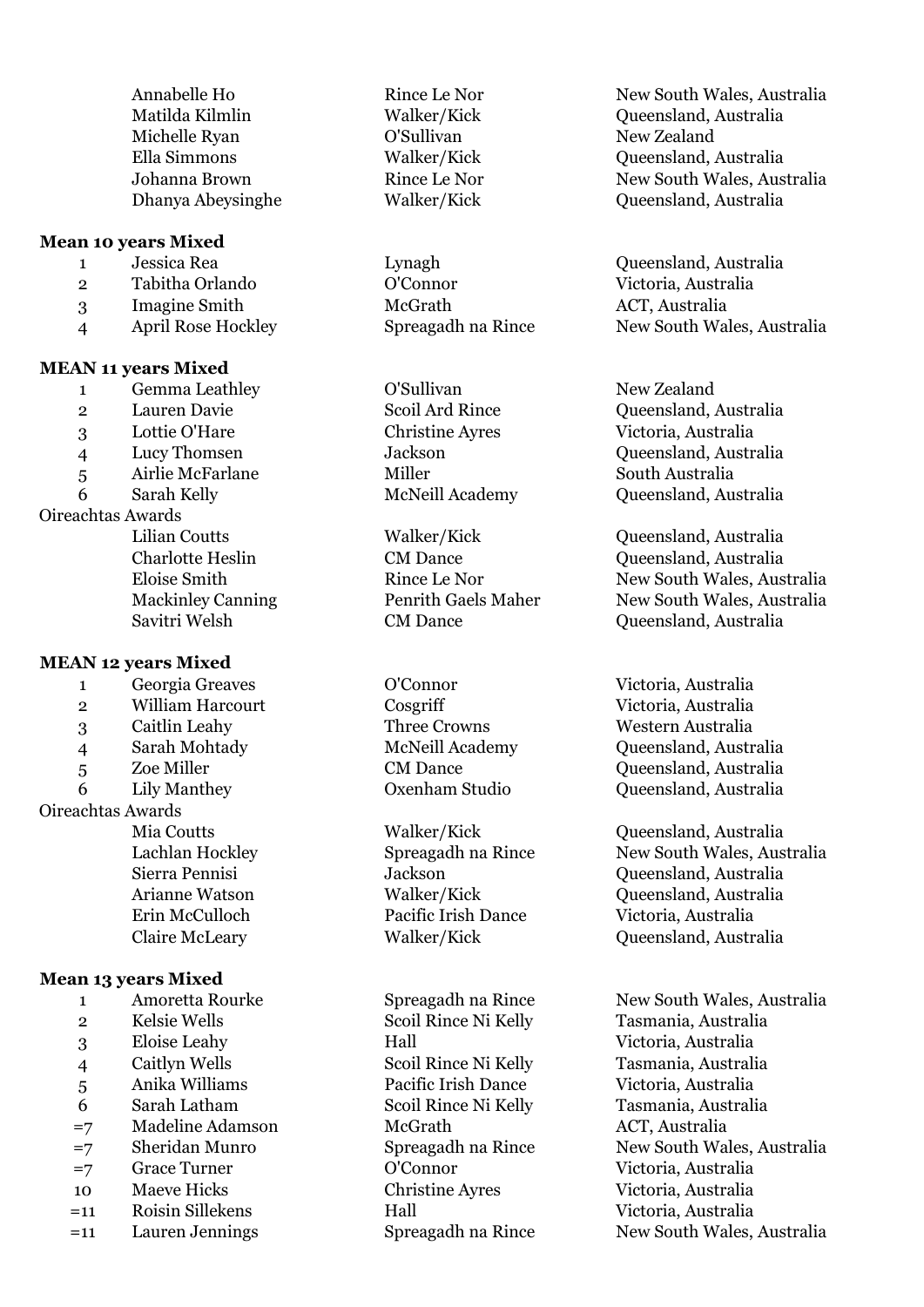| Annabelle Ho      | Rince Le Nor |
|-------------------|--------------|
| Matilda Kilmlin   | Walker/Kick  |
| Michelle Ryan     | O'Sullivan   |
| Ella Simmons      | Walker/Kick  |
| Johanna Brown     | Rince Le Nor |
| Dhanya Abeysinghe | Walker/Kick  |

#### **Mean 10 years Mixed**

|               | Jessica Rea               |  |
|---------------|---------------------------|--|
| $\mathcal{P}$ | Tabitha Orlando           |  |
| 3             | <b>Imagine Smith</b>      |  |
|               | <b>April Rose Hockley</b> |  |

#### **MEAN 11 years Mixed**

- 1 Gemma Leathley C'Sullivan C'Sullivan New Zealand
- 
- 
- 
- 

# Oireachtas Awards

| .                        |
|--------------------------|
| Lilian Coutts            |
| Charlotte Heslin         |
| Eloise Smith             |
| <b>Mackinley Canning</b> |
| Savitri Welsh            |

## **MEAN 12 years Mixed**

- 1 Georgia Greaves O'Connor Victoria, Australia
- 2 William Harcourt Cosgriff Cosserverse Victoria, Australia
- 3 Caitlin Leahy Three Crowns Western Australia
- 4 Sarah Mohtady McNeill Academy Queensland, Australia
- 
- 

# Oireachtas Awards

## **Mean 13 years Mixed**

| Amoretta Rourke |
|-----------------|
| Kelsie Wells    |

- 
- 
- 
- 
- =7 Madeline Adamson McGrath ACT, Australia
- 
- =7 Grace Turner O'Connor Victoria, Australia
- 10 Maeve Hicks Christine Ayres Victoria, Australia
- =11 Roisin Sillekens Hall Victoria, Australia
- 

2 Tabitha Orlando O'Connor Victoria, Australia 3 Imagine Smith McGrath ACT, Australia

5 Airlie McFarlane Miller Miller South Australia

Walker/Kick Queensland, Australia

Erin McCulloch Pacific Irish Dance Victoria, Australia

 Kelsie Wells Scoil Rince Ni Kelly Tasmania, Australia Eloise Leahy Hall Victoria, Australia Caitlyn Wells Scoil Rince Ni Kelly Tasmania, Australia Anika Williams Pacific Irish Dance Victoria, Australia Sarah Latham Scoil Rince Ni Kelly Tasmania, Australia

New South Wales, Australia Queensland, Australia New Zealand Queensland, Australia New South Wales, Australia Oueensland, Australia

1 Lynagh Queensland, Australia Spreagadh na Rince New South Wales, Australia

 Lauren Davie Scoil Ard Rince Queensland, Australia Lottie O'Hare Christine Ayres Victoria, Australia Lucy Thomsen Jackson Queensland, Australia Sarah Kelly McNeill Academy Queensland, Australia

> CM Dance **CM Dance** Queensland, Australia Rince Le Nor New South Wales, Australia g Sepandale Canning Penrith Gaels Maher New South Wales, Australia CM Dance Queensland, Australia

5 Zoe Miller CM Dance Queensland, Australia 6 Lily Manthey Oxenham Studio Queensland, Australia

Mia Coutts Walker/Kick Queensland, Australia Lachlan Hockley Spreagadh na Rince New South Wales, Australia Sierra Pennisi Jackson Queensland, Australia Arianne Watson Walker/Kick Queensland, Australia Claire McLeary Walker/Kick Queensland, Australia

e 1 1 - Spreagadh na Rince New South Wales, Australia =7 Sheridan Munro Spreagadh na Rince New South Wales, Australia =11 Lauren Jennings Spreagadh na Rince New South Wales, Australia